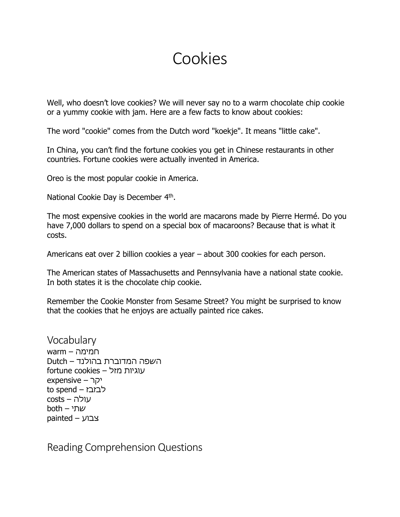## Cookies

Well, who doesn't love cookies? We will never say no to a warm chocolate chip cookie or a yummy cookie with jam. Here are a few facts to know about cookies:

The word "cookie" comes from the Dutch word "koekje". It means "little cake".

In China, you can't find the fortune cookies you get in Chinese restaurants in other countries. Fortune cookies were actually invented in America.

Oreo is the most popular cookie in America.

National Cookie Day is December 4<sup>th</sup>.

The most expensive cookies in the world are macarons made by Pierre Hermé. Do you have 7,000 dollars to spend on a special box of macaroons? Because that is what it costs.

Americans eat over 2 billion cookies a year – about 300 cookies for each person.

The American states of Massachusetts and Pennsylvania have a national state cookie. In both states it is the chocolate chip cookie.

Remember the Cookie Monster from Sesame Street? You might be surprised to know that the cookies that he enjoys are actually painted rice cakes.

Vocabulary חמימה – warm השפה המדוברת בהולנד – Dutch עוגיות מזל – cookies fortune יקר – expensive to spend – לבזבז עולה – costs שתי – both צבוע – painted

Reading Comprehension Questions